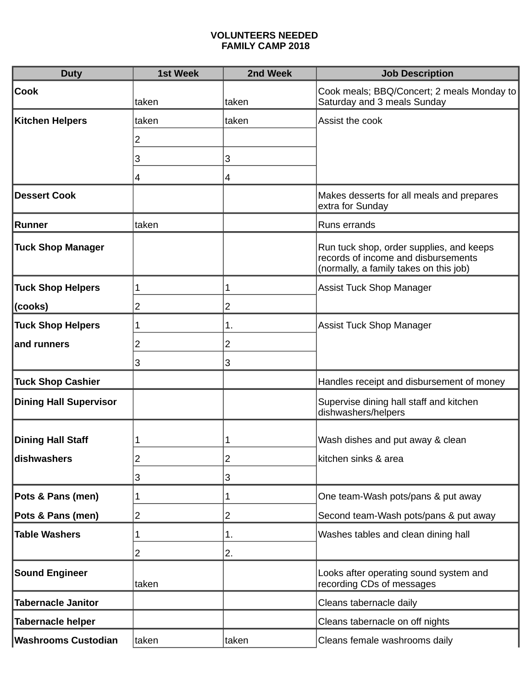## **VOLUNTEERS NEEDED FAMILY CAMP 2018**

| <b>Duty</b>                   | <b>1st Week</b> | 2nd Week       | <b>Job Description</b>                                                                                                    |
|-------------------------------|-----------------|----------------|---------------------------------------------------------------------------------------------------------------------------|
| <b>Cook</b>                   | taken           | taken          | Cook meals; BBQ/Concert; 2 meals Monday to<br>Saturday and 3 meals Sunday                                                 |
| Kitchen Helpers               | taken           | taken          | Assist the cook                                                                                                           |
|                               | 2               |                |                                                                                                                           |
|                               | 3               | 3              |                                                                                                                           |
|                               | 4               | 4              |                                                                                                                           |
| <b>Dessert Cook</b>           |                 |                | Makes desserts for all meals and prepares<br>extra for Sunday                                                             |
| <b>Runner</b>                 | taken           |                | Runs errands                                                                                                              |
| <b>Tuck Shop Manager</b>      |                 |                | Run tuck shop, order supplies, and keeps<br>records of income and disbursements<br>(normally, a family takes on this job) |
| <b>Tuck Shop Helpers</b>      | 1               | 1              | <b>Assist Tuck Shop Manager</b>                                                                                           |
| (cooks)                       | 2               | $\overline{c}$ |                                                                                                                           |
| <b>Tuck Shop Helpers</b>      | 1               | 1.             | <b>Assist Tuck Shop Manager</b>                                                                                           |
| and runners                   | 2               | 2              |                                                                                                                           |
|                               | 3               | 3              |                                                                                                                           |
| <b>Tuck Shop Cashier</b>      |                 |                | Handles receipt and disbursement of money                                                                                 |
| <b>Dining Hall Supervisor</b> |                 |                | Supervise dining hall staff and kitchen<br>dishwashers/helpers                                                            |
| <b>Dining Hall Staff</b>      | 1               | 1              | Wash dishes and put away & clean                                                                                          |
| dishwashers                   | ۷               | 2              | kitchen sinks & area                                                                                                      |
|                               | 3               | 3              |                                                                                                                           |
| Pots & Pans (men)             | 1               | 1              | One team-Wash pots/pans & put away                                                                                        |
| Pots & Pans (men)             | 2               | 2              | Second team-Wash pots/pans & put away                                                                                     |
| <b>Table Washers</b>          | 1               | 1.             | Washes tables and clean dining hall                                                                                       |
|                               | 2               | 2.             |                                                                                                                           |
| <b>Sound Engineer</b>         | taken           |                | Looks after operating sound system and<br>recording CDs of messages                                                       |
| <b>Tabernacle Janitor</b>     |                 |                | Cleans tabernacle daily                                                                                                   |
| <b>Tabernacle helper</b>      |                 |                | Cleans tabernacle on off nights                                                                                           |
| <b>Washrooms Custodian</b>    | taken           | taken          | Cleans female washrooms daily                                                                                             |